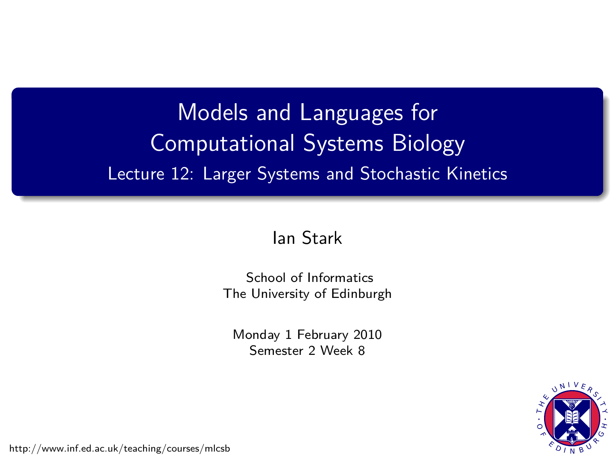# Models and Languages for Computational Systems Biology Lecture 12: Larger Systems and Stochastic Kinetics

### [Ian Stark](http://homepages.ed.ac.uk/stark)

[School of Informatics](http://www.inf.ed.ac.uk) [The University of Edinburgh](http://www.ed.ac.uk)

Monday 1 February 2010 Semester 2 Week 8



<span id="page-0-0"></span><http://www.inf.ed.ac.uk/teaching/courses/mlcsb>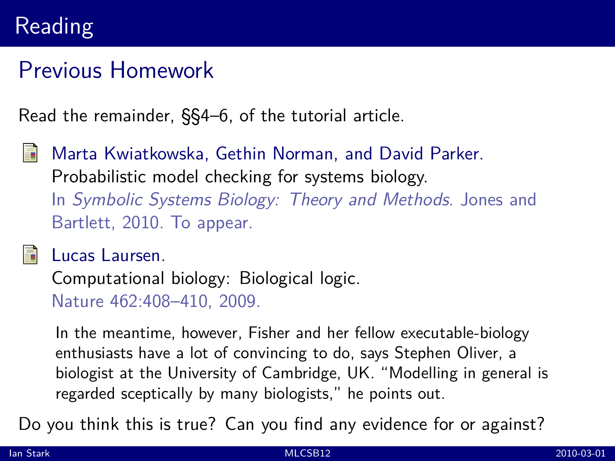## Reading

## Previous Homework

Read the remainder, §§4–6, of the tutorial article.

Marta Kwiatkowska, Gethin Norman, and David Parker. [Probabilistic model checking for systems biology.](http://www.prismmodelchecker.org/bibitem.php?key=KNP10a) In Symbolic Systems Biology: Theory and Methods. Jones and Bartlett, 2010. To appear.

#### Lucas Laursen.

[Computational biology: Biological logic.](http://dx.doi.org.ezproxy.webfeat.lib.ed.ac.uk/10.1038/462408a) Nature 462:408–410, 2009.

In the meantime, however, Fisher and her fellow executable-biology enthusiasts have a lot of convincing to do, says Stephen Oliver, a biologist at the University of Cambridge, UK. "Modelling in general is regarded sceptically by many biologists," he points out.

Do you think this is true? Can you find any evidence for or against?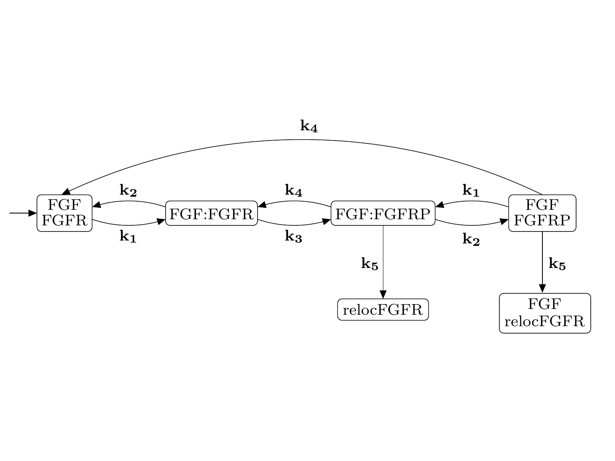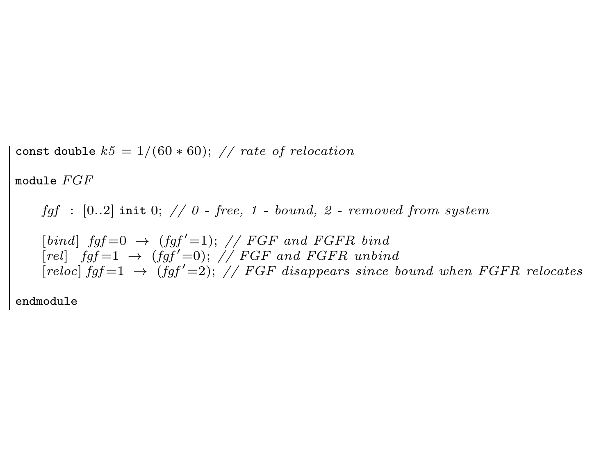const double  $k5 = 1/(60 * 60)$ ; // rate of relocation module FGF fgf :  $[0..2]$  init 0; // 0 - free, 1 - bound, 2 - removed from system  $[bind]$   $fgf=0 \rightarrow (fgf'=1);$  // FGF and FGFR bind  $[rel] \quad fgf=1 \rightarrow (fgf'=0); \ // FGF \quad and FGFR \quad unbind$  $[reloc] \; fgf = 1 \rightarrow (fgf' = 2); \; // \; FGF \; disappears \; since \; bound \; when \; FGFR \; releases$ 

endmodule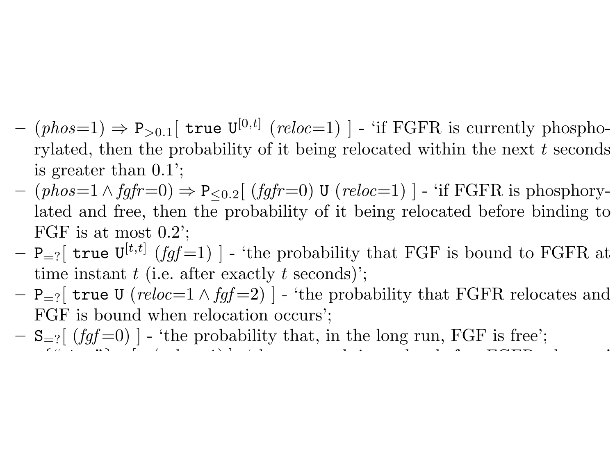- $(- (phos=1) \Rightarrow P_{>0.1}$  [true  $U^{[0,t]}$  (reloc=1) ] 'if FGFR is currently phosphorylated, then the probability of it being relocated within the next  $t$  seconds is greater than 0.1';
- $-$  (phos=1∧ fgfr=0)  $\Rightarrow$  P<sub><0.2</sub>[ (fgfr=0) U (reloc=1) ] 'if FGFR is phosphorylated and free, then the probability of it being relocated before binding to FGF is at most 0.2';
- $P_{r}$  true  $U^{[t,t]}$  (fgf = 1) ] 'the probability that FGF is bound to FGFR at time instant  $t$  (i.e. after exactly  $t$  seconds)';
- $P_{r}$  true U (reloc=1  $\wedge$  fgf = 2) | 'the probability that FGFR relocates and FGF is bound when relocation occurs';
- $-$  S<sub>=?</sub>[ (fgf =0) ] 'the probability that, in the long run, FGF is free';  $\sum_{i=1}^{n}$   $\sum_{i=1}^{n}$   $\sum_{i=1}^{n}$   $\sum_{i=1}^{n}$   $\sum_{i=1}^{n}$   $\sum_{i=1}^{n}$   $\sum_{i=1}^{n}$   $\sum_{i=1}^{n}$   $\sum_{i=1}^{n}$   $\sum_{i=1}^{n}$   $\sum_{i=1}^{n}$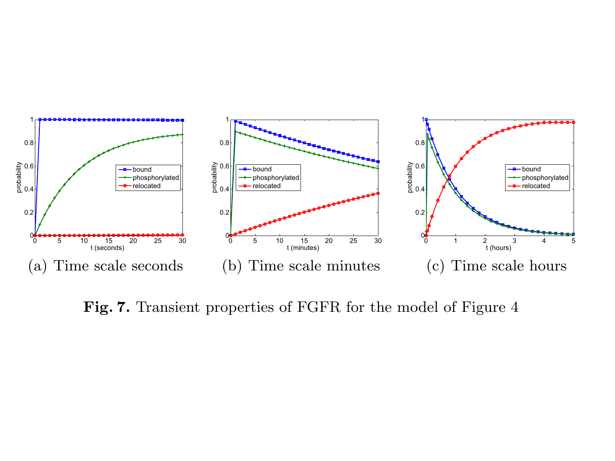

Fig. 7. Transient properties of FGFR for the model of Figure 4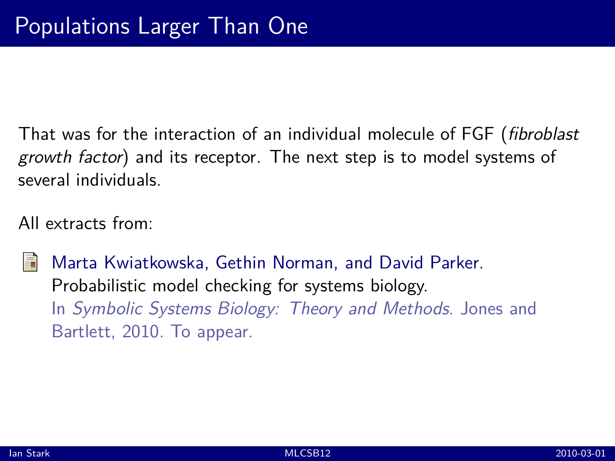That was for the interaction of an individual molecule of FGF (fibroblast growth factor) and its receptor. The next step is to model systems of several individuals.

All extracts from:

Marta Kwiatkowska, Gethin Norman, and David Parker. [Probabilistic model checking for systems biology.](http://www.prismmodelchecker.org/bibitem.php?key=KNP10a) In Symbolic Systems Biology: Theory and Methods. Jones and Bartlett, 2010. To appear.

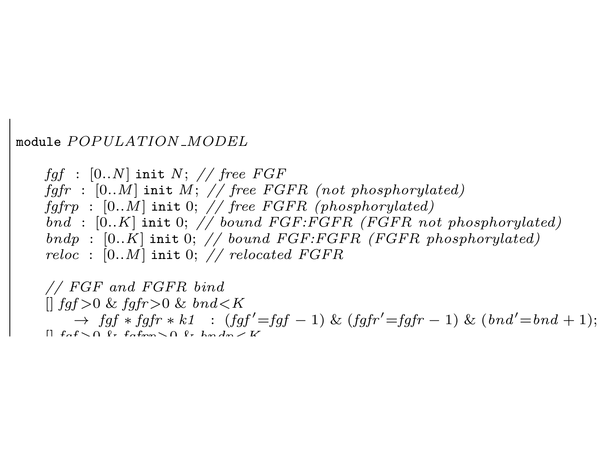#### module POPULATION MODEL

faf :  $[0..N]$  init N; // free FGF fgfr :  $[0..M]$  init M; // free FGFR (not phosphorylated) fgfrp :  $[0..M]$  init 0; // free FGFR (phosphorylated) bnd :  $[0..K]$  init 0; // bound FGF:FGFR (FGFR not phosphorylated) bndp :  $[0..K]$  init 0; // bound FGF:FGFR (FGFR phosphorylated) reloc :  $[0..M]$  init 0; // relocated FGFR

// FGF and FGFR bind  $\parallel$  faf > 0 & fqfr > 0 & bnd < K  $\rightarrow$  fgf \* fgfr \* k1 : (fgf'=fgf - 1) & (fgfr'=fgfr - 1) & (bnd'=bnd + 1);  $[$ | faf $\setminus$   $\cap$   $\ell$  + fafrom $\setminus$   $\cap$   $\ell$  +  $k$  and  $m \times k$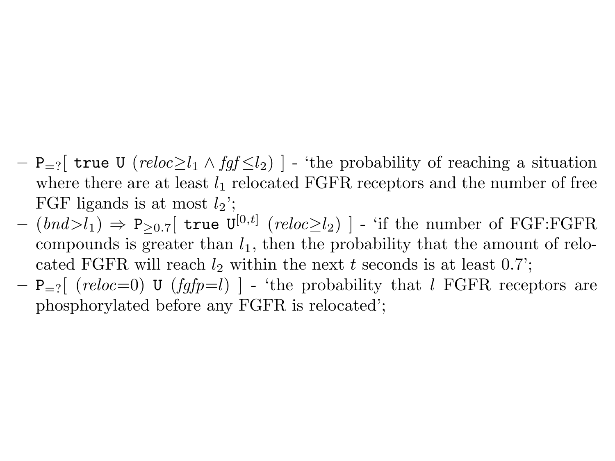- $P_{-2}$  true U (reloc $\geq l_1 \wedge f \circ f_2$ ) 'the probability of reaching a situation where there are at least  $l_1$  relocated FGFR receptors and the number of free FGF ligands is at most  $l_2$ :
- $(bnd>l_1) \Rightarrow P_{\geq 0.7}$  true  $U^{[0,t]}$  (reloc $\geq l_2$ ) ] 'if the number of FGF:FGFR compounds is greater than  $l_1$ , then the probability that the amount of relocated FGFR will reach  $l_2$  within the next t seconds is at least 0.7';
- $P_{r}$  (reloc=0) U (fgfp=l) ] 'the probability that l FGFR receptors are phosphorylated before any FGFR is relocated';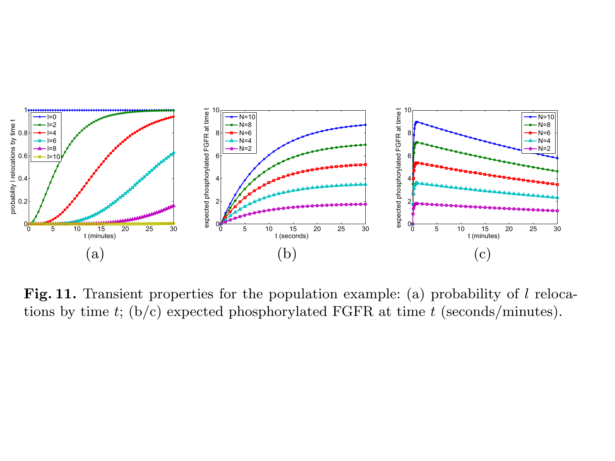

Fig. 11. Transient properties for the population example: (a) probability of  $l$  relocations by time t; (b/c) expected phosphorylated FGFR at time t (seconds/minutes).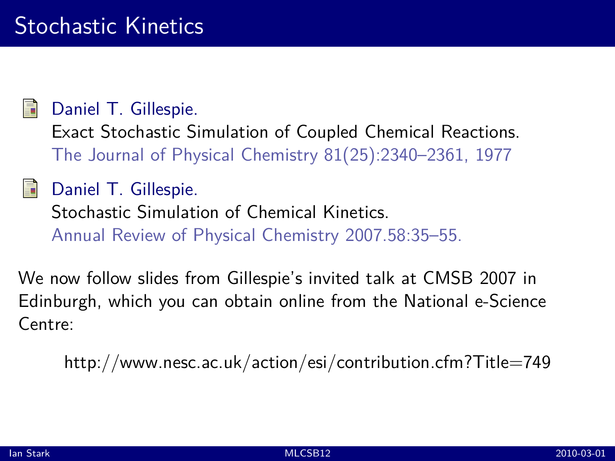Daniel T. Gillespie.

[Exact Stochastic Simulation of Coupled Chemical Reactions.](http://dx.doi.org.ezproxy.webfeat.lib.ed.ac.uk/10.1021/j100540a008) The Journal of Physical Chemistry 81(25):2340–2361, 1977

## Daniel T. Gillespie.

[Stochastic Simulation of Chemical Kinetics.](http://dx.doi.org.ezproxy.webfeat.lib.ed.ac.uk/10.1146/annurev.physchem.58.032806.104637) Annual Review of Physical Chemistry 2007.58:35–55.

We now follow [slides from Gillespie's invited talk](http://www.nesc.ac.uk/action/esi/download.cfm?index=3584) at CMSB 2007 in Edinburgh, which you can obtain online from the National e-Science Centre:

<http://www.nesc.ac.uk/action/esi/contribution.cfm?Title=749>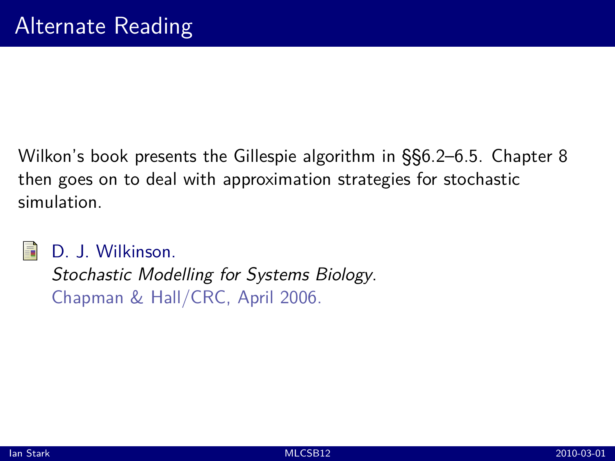Wilkon's book presents the Gillespie algorithm in §§6.2–6.5. Chapter 8 then goes on to deal with approximation strategies for stochastic simulation.



D. J. Wilkinson.

[Stochastic Modelling for Systems Biology](http://www.staff.ncl.ac.uk/d.j.wilkinson/smfsb/). Chapman & Hall/CRC, April 2006.